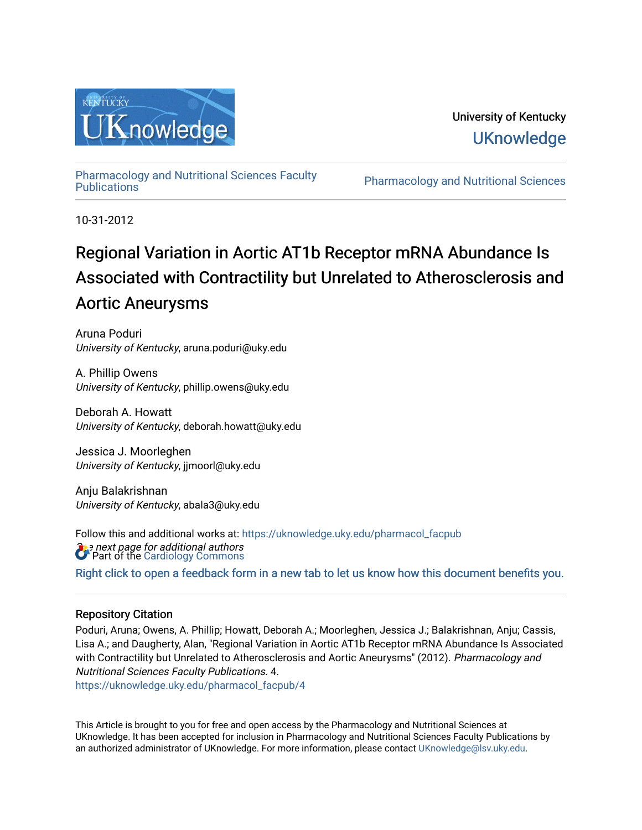

## University of Kentucky **UKnowledge**

[Pharmacology and Nutritional Sciences Faculty](https://uknowledge.uky.edu/pharmacol_facpub)

Pharmacology and Nutritional Sciences

10-31-2012

# Regional Variation in Aortic AT1b Receptor mRNA Abundance Is Associated with Contractility but Unrelated to Atherosclerosis and Aortic Aneurysms

Aruna Poduri University of Kentucky, aruna.poduri@uky.edu

A. Phillip Owens University of Kentucky, phillip.owens@uky.edu

Deborah A. Howatt University of Kentucky, deborah.howatt@uky.edu

Jessica J. Moorleghen University of Kentucky, jjmoorl@uky.edu

Anju Balakrishnan University of Kentucky, abala3@uky.edu

**B** *e* next page for additional authors<br>**C** Part of the [Cardiology Commons](http://network.bepress.com/hgg/discipline/683?utm_source=uknowledge.uky.edu%2Fpharmacol_facpub%2F4&utm_medium=PDF&utm_campaign=PDFCoverPages) Follow this and additional works at: [https://uknowledge.uky.edu/pharmacol\\_facpub](https://uknowledge.uky.edu/pharmacol_facpub?utm_source=uknowledge.uky.edu%2Fpharmacol_facpub%2F4&utm_medium=PDF&utm_campaign=PDFCoverPages)

[Right click to open a feedback form in a new tab to let us know how this document benefits you.](https://uky.az1.qualtrics.com/jfe/form/SV_9mq8fx2GnONRfz7)

## Repository Citation

Poduri, Aruna; Owens, A. Phillip; Howatt, Deborah A.; Moorleghen, Jessica J.; Balakrishnan, Anju; Cassis, Lisa A.; and Daugherty, Alan, "Regional Variation in Aortic AT1b Receptor mRNA Abundance Is Associated with Contractility but Unrelated to Atherosclerosis and Aortic Aneurysms" (2012). Pharmacology and Nutritional Sciences Faculty Publications. 4.

[https://uknowledge.uky.edu/pharmacol\\_facpub/4](https://uknowledge.uky.edu/pharmacol_facpub/4?utm_source=uknowledge.uky.edu%2Fpharmacol_facpub%2F4&utm_medium=PDF&utm_campaign=PDFCoverPages)

This Article is brought to you for free and open access by the Pharmacology and Nutritional Sciences at UKnowledge. It has been accepted for inclusion in Pharmacology and Nutritional Sciences Faculty Publications by an authorized administrator of UKnowledge. For more information, please contact [UKnowledge@lsv.uky.edu](mailto:UKnowledge@lsv.uky.edu).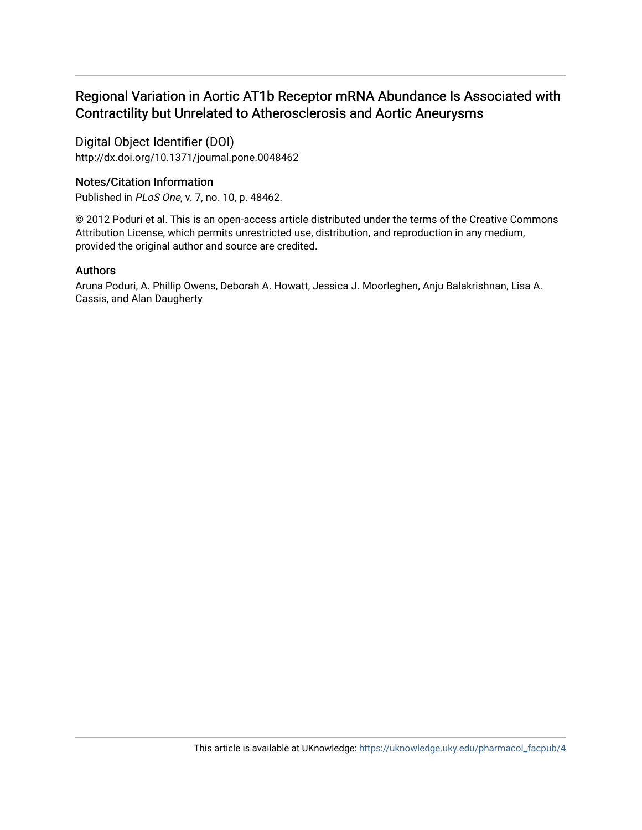## Regional Variation in Aortic AT1b Receptor mRNA Abundance Is Associated with Contractility but Unrelated to Atherosclerosis and Aortic Aneurysms

Digital Object Identifier (DOI) http://dx.doi.org/10.1371/journal.pone.0048462

### Notes/Citation Information

Published in PLoS One, v. 7, no. 10, p. 48462.

© 2012 Poduri et al. This is an open-access article distributed under the terms of the Creative Commons Attribution License, which permits unrestricted use, distribution, and reproduction in any medium, provided the original author and source are credited.

### Authors

Aruna Poduri, A. Phillip Owens, Deborah A. Howatt, Jessica J. Moorleghen, Anju Balakrishnan, Lisa A. Cassis, and Alan Daugherty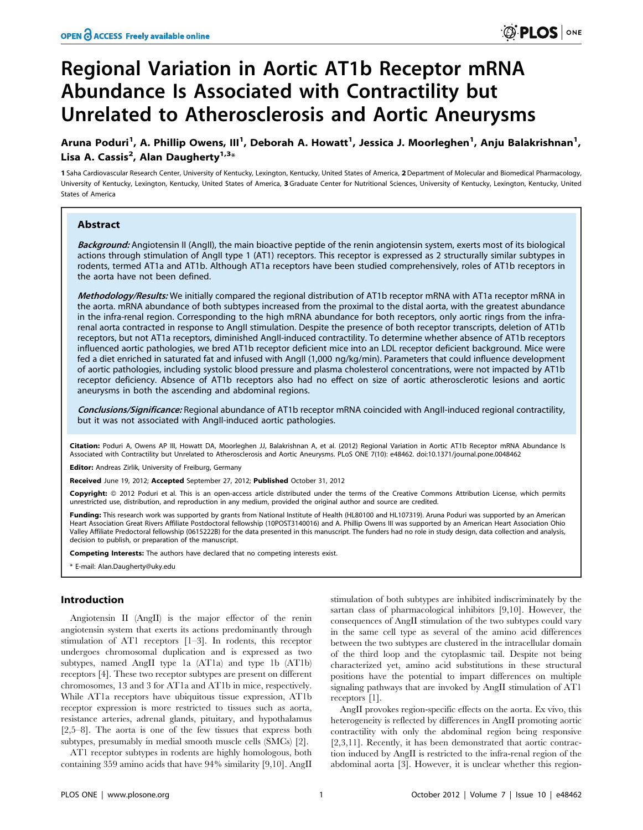# Regional Variation in Aortic AT1b Receptor mRNA Abundance Is Associated with Contractility but Unrelated to Atherosclerosis and Aortic Aneurysms

Aruna Poduri<sup>1</sup>, A. Phillip Owens, III<sup>1</sup>, Deborah A. Howatt<sup>1</sup>, Jessica J. Moorleghen<sup>1</sup>, Anju Balakrishnan<sup>1</sup>, Lisa A. Cassis<sup>2</sup>, Alan Daugherty<sup>1,3</sup>\*

1 Saha Cardiovascular Research Center, University of Kentucky, Lexington, Kentucky, United States of America, 2Department of Molecular and Biomedical Pharmacology, University of Kentucky, Lexington, Kentucky, United States of America, 3 Graduate Center for Nutritional Sciences, University of Kentucky, Lexington, Kentucky, United States of America

#### Abstract

Background: Angiotensin II (AngII), the main bioactive peptide of the renin angiotensin system, exerts most of its biological actions through stimulation of AngII type 1 (AT1) receptors. This receptor is expressed as 2 structurally similar subtypes in rodents, termed AT1a and AT1b. Although AT1a receptors have been studied comprehensively, roles of AT1b receptors in the aorta have not been defined.

Methodology/Results: We initially compared the regional distribution of AT1b receptor mRNA with AT1a receptor mRNA in the aorta. mRNA abundance of both subtypes increased from the proximal to the distal aorta, with the greatest abundance in the infra-renal region. Corresponding to the high mRNA abundance for both receptors, only aortic rings from the infrarenal aorta contracted in response to AngII stimulation. Despite the presence of both receptor transcripts, deletion of AT1b receptors, but not AT1a receptors, diminished AngII-induced contractility. To determine whether absence of AT1b receptors influenced aortic pathologies, we bred AT1b receptor deficient mice into an LDL receptor deficient background. Mice were fed a diet enriched in saturated fat and infused with AngII (1,000 ng/kg/min). Parameters that could influence development of aortic pathologies, including systolic blood pressure and plasma cholesterol concentrations, were not impacted by AT1b receptor deficiency. Absence of AT1b receptors also had no effect on size of aortic atherosclerotic lesions and aortic aneurysms in both the ascending and abdominal regions.

Conclusions/Significance: Regional abundance of AT1b receptor mRNA coincided with AngII-induced regional contractility, but it was not associated with AngII-induced aortic pathologies.

Citation: Poduri A, Owens AP III, Howatt DA, Moorleghen JJ, Balakrishnan A, et al. (2012) Regional Variation in Aortic AT1b Receptor mRNA Abundance Is Associated with Contractility but Unrelated to Atherosclerosis and Aortic Aneurysms. PLoS ONE 7(10): e48462. doi:10.1371/journal.pone.0048462

Editor: Andreas Zirlik, University of Freiburg, Germany

Received June 19, 2012; Accepted September 27, 2012; Published October 31, 2012

Copyright: © 2012 Poduri et al. This is an open-access article distributed under the terms of the Creative Commons Attribution License, which permits unrestricted use, distribution, and reproduction in any medium, provided the original author and source are credited.

Funding: This research work was supported by grants from National Institute of Health (HL80100 and HL107319). Aruna Poduri was supported by an American Heart Association Great Rivers Affiliate Postdoctoral fellowship (10POST3140016) and A. Phillip Owens III was supported by an American Heart Association Ohio Valley Affiliate Predoctoral fellowship (0615222B) for the data presented in this manuscript. The funders had no role in study design, data collection and analysis, decision to publish, or preparation of the manuscript.

Competing Interests: The authors have declared that no competing interests exist.

\* E-mail: Alan.Daugherty@uky.edu

#### Introduction

Angiotensin II (AngII) is the major effector of the renin angiotensin system that exerts its actions predominantly through stimulation of AT1 receptors [1–3]. In rodents, this receptor undergoes chromosomal duplication and is expressed as two subtypes, named AngII type 1a (AT1a) and type 1b (AT1b) receptors [4]. These two receptor subtypes are present on different chromosomes, 13 and 3 for AT1a and AT1b in mice, respectively. While AT1a receptors have ubiquitous tissue expression, AT1b receptor expression is more restricted to tissues such as aorta, resistance arteries, adrenal glands, pituitary, and hypothalamus [2,5–8]. The aorta is one of the few tissues that express both subtypes, presumably in medial smooth muscle cells (SMCs) [2].

AT1 receptor subtypes in rodents are highly homologous, both containing 359 amino acids that have 94% similarity [9,10]. AngII

stimulation of both subtypes are inhibited indiscriminately by the sartan class of pharmacological inhibitors [9,10]. However, the consequences of AngII stimulation of the two subtypes could vary in the same cell type as several of the amino acid differences between the two subtypes are clustered in the intracellular domain of the third loop and the cytoplasmic tail. Despite not being characterized yet, amino acid substitutions in these structural positions have the potential to impart differences on multiple signaling pathways that are invoked by AngII stimulation of AT1 receptors [1].

AngII provokes region-specific effects on the aorta. Ex vivo, this heterogeneity is reflected by differences in AngII promoting aortic contractility with only the abdominal region being responsive [2,3,11]. Recently, it has been demonstrated that aortic contraction induced by AngII is restricted to the infra-renal region of the abdominal aorta [3]. However, it is unclear whether this region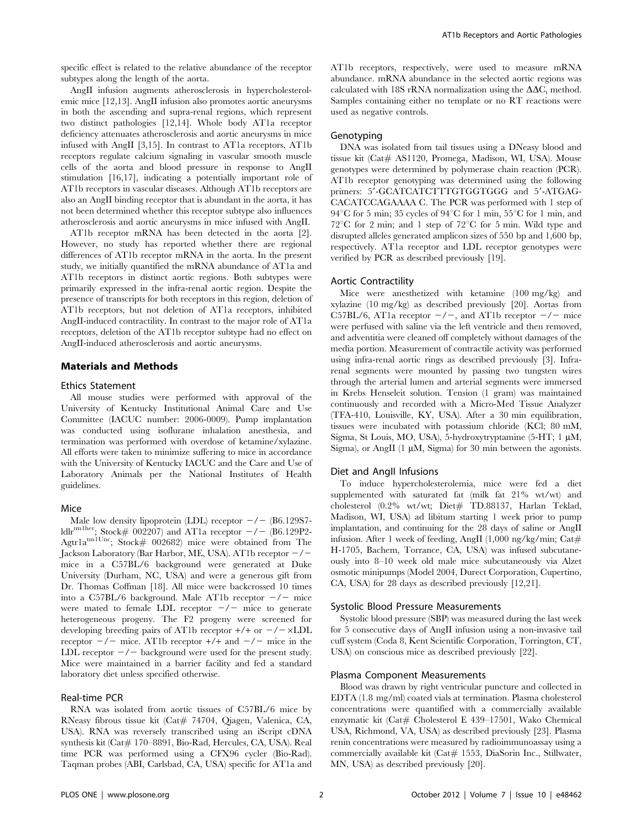specific effect is related to the relative abundance of the receptor subtypes along the length of the aorta.

AngII infusion augments atherosclerosis in hypercholesterolemic mice [12,13]. AngII infusion also promotes aortic aneurysms in both the ascending and supra-renal regions, which represent two distinct pathologies [12,14]. Whole body AT1a receptor deficiency attenuates atherosclerosis and aortic aneurysms in mice infused with AngII [3,15]. In contrast to AT1a receptors, AT1b receptors regulate calcium signaling in vascular smooth muscle cells of the aorta and blood pressure in response to AngII stimulation [16,17], indicating a potentially important role of AT1b receptors in vascular diseases. Although AT1b receptors are also an AngII binding receptor that is abundant in the aorta, it has not been determined whether this receptor subtype also influences atherosclerosis and aortic aneurysms in mice infused with AngII.

AT1b receptor mRNA has been detected in the aorta [2]. However, no study has reported whether there are regional differences of AT1b receptor mRNA in the aorta. In the present study, we initially quantified the mRNA abundance of AT1a and AT1b receptors in distinct aortic regions. Both subtypes were primarily expressed in the infra-renal aortic region. Despite the presence of transcripts for both receptors in this region, deletion of AT1b receptors, but not deletion of AT1a receptors, inhibited AngII-induced contractility. In contrast to the major role of AT1a receptors, deletion of the AT1b receptor subtype had no effect on AngII-induced atherosclerosis and aortic aneurysms.

#### Materials and Methods

#### Ethics Statement

All mouse studies were performed with approval of the University of Kentucky Institutional Animal Care and Use Committee (IACUC number: 2006-0009). Pump implantation was conducted using isoflurane inhalation anesthesia, and termination was performed with overdose of ketamine/xylazine. All efforts were taken to minimize suffering to mice in accordance with the University of Kentucky IACUC and the Care and Use of Laboratory Animals per the National Institutes of Health guidelines.

#### Mice

Male low density lipoprotein (LDL) receptor  $-/-$  (B6.129S7ldlr<sup>tm1her</sup>; Stock# 002207) and AT1a receptor  $-/-$  (B6.129P2- $A$ gtr $1a^{\text{m1}Unc}$ ;  $Stock# 002682$ ) mice were obtained from The Jackson Laboratory (Bar Harbor, ME, USA). AT1b receptor  $-/$ mice in a C57BL/6 background were generated at Duke University (Durham, NC, USA) and were a generous gift from Dr. Thomas Coffman [18]. All mice were backcrossed 10 times into a C57BL/6 background. Male AT1b receptor  $-\prime$  mice were mated to female LDL receptor  $-\prime$  mice to generate heterogeneous progeny. The F2 progeny were screened for developing breeding pairs of AT1b receptor  $+/+$  or  $-/- \times LDL$ receptor  $-\prime$  mice. AT1b receptor  $+\prime$ + and  $-\prime$  mice in the LDL receptor  $-\prime$  background were used for the present study. Mice were maintained in a barrier facility and fed a standard laboratory diet unless specified otherwise.

#### Real-time PCR

RNA was isolated from aortic tissues of C57BL/6 mice by RNeasy fibrous tissue kit (Cat# 74704, Qiagen, Valenica, CA, USA). RNA was reversely transcribed using an iScript cDNA synthesis kit (Cat# 170–8891, Bio-Rad, Hercules, CA, USA). Real time PCR was performed using a CFX96 cycler (Bio-Rad). Taqman probes (ABI, Carlsbad, CA, USA) specific for AT1a and AT1b receptors, respectively, were used to measure mRNA abundance. mRNA abundance in the selected aortic regions was calculated with 18S rRNA normalization using the  $\Delta \Delta C_t$  method. Samples containing either no template or no RT reactions were used as negative controls.

#### Genotyping

DNA was isolated from tail tissues using a DNeasy blood and tissue kit (Cat# AS1120, Promega, Madison, WI, USA). Mouse genotypes were determined by polymerase chain reaction (PCR). AT1b receptor genotyping was determined using the following primers: 5'-GCATCATCTTTGTGGTGGG and 5'-ATGAG-CACATCCAGAAAA C. The PCR was performed with 1 step of 94 $\rm ^{\circ}C$  for 5 min; 35 cycles of 94 $\rm ^{\circ}C$  for 1 min, 55 $\rm ^{\circ}C$  for 1 min, and  $72^{\circ}$ C for 2 min; and 1 step of  $72^{\circ}$ C for 5 min. Wild type and disrupted alleles generated amplicon sizes of 550 bp and 1,600 bp, respectively. AT1a receptor and LDL receptor genotypes were verified by PCR as described previously [19].

#### Aortic Contractility

Mice were anesthetized with ketamine (100 mg/kg) and xylazine (10 mg/kg) as described previously [20]. Aortas from C57BL/6, AT1a receptor  $-\prime$ , and AT1b receptor  $-\prime$  mice were perfused with saline via the left ventricle and then removed, and adventitia were cleaned off completely without damages of the media portion. Measurement of contractile activity was performed using infra-renal aortic rings as described previously [3]. Infrarenal segments were mounted by passing two tungsten wires through the arterial lumen and arterial segments were immersed in Krebs Henseleit solution. Tension (1 gram) was maintained continuously and recorded with a Micro-Med Tissue Analyzer (TFA-410, Louisville, KY, USA). After a 30 min equilibration, tissues were incubated with potassium chloride (KCl; 80 mM, Sigma, St Louis, MO, USA), 5-hydroxytryptamine (5-HT; 1 µM, Sigma), or AngII  $(1 \mu M,$  Sigma) for 30 min between the agonists.

#### Diet and AngII Infusions

To induce hypercholesterolemia, mice were fed a diet supplemented with saturated fat (milk fat 21% wt/wt) and cholesterol (0.2% wt/wt; Diet# TD.88137, Harlan Teklad, Madison, WI, USA) ad libitum starting 1 week prior to pump implantation, and continuing for the 28 days of saline or AngII infusion. After 1 week of feeding, AngII  $(1,000 \text{ ng/kg/min}; \text{Cat#})$ H-1705, Bachem, Torrance, CA, USA) was infused subcutaneously into 8–10 week old male mice subcutaneously via Alzet osmotic minipumps (Model 2004, Durect Corporation, Cupertino, CA, USA) for 28 days as described previously [12,21].

#### Systolic Blood Pressure Measurements

Systolic blood pressure (SBP) was measured during the last week for 5 consecutive days of AngII infusion using a non-invasive tail cuff system (Coda 8, Kent Scientific Corporation, Torrington, CT, USA) on conscious mice as described previously [22].

#### Plasma Component Measurements

Blood was drawn by right ventricular puncture and collected in EDTA (1.8 mg/ml) coated vials at termination. Plasma cholesterol concentrations were quantified with a commercially available enzymatic kit (Cat# Cholesterol E 439-17501, Wako Chemical USA, Richmond, VA, USA) as described previously [23]. Plasma renin concentrations were measured by radioimmunoassay using a commercially available kit (Cat# 1553, DiaSorin Inc., Stillwater, MN, USA) as described previously [20].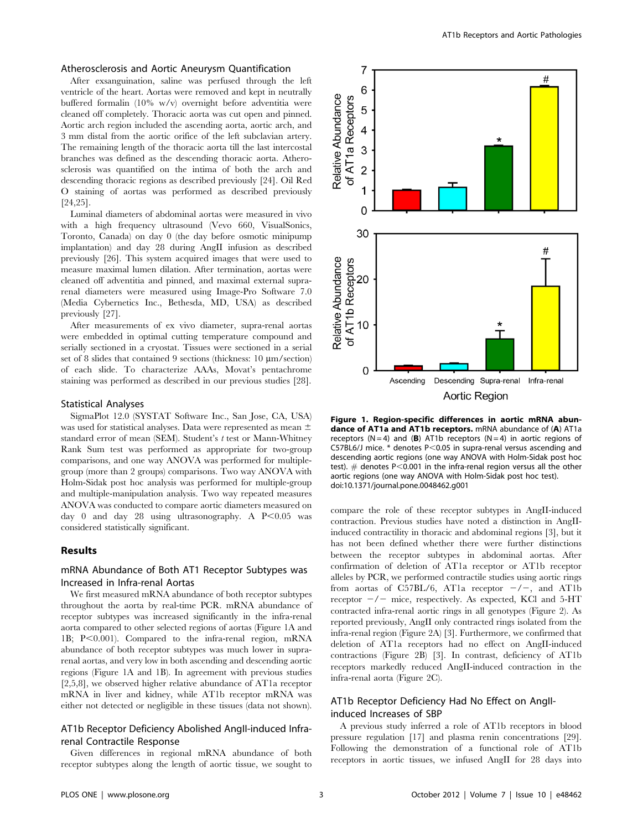#### Atherosclerosis and Aortic Aneurysm Quantification

After exsanguination, saline was perfused through the left ventricle of the heart. Aortas were removed and kept in neutrally buffered formalin (10% w/v) overnight before adventitia were cleaned off completely. Thoracic aorta was cut open and pinned. Aortic arch region included the ascending aorta, aortic arch, and 3 mm distal from the aortic orifice of the left subclavian artery. The remaining length of the thoracic aorta till the last intercostal branches was defined as the descending thoracic aorta. Atherosclerosis was quantified on the intima of both the arch and descending thoracic regions as described previously [24]. Oil Red O staining of aortas was performed as described previously [24,25].

Luminal diameters of abdominal aortas were measured in vivo with a high frequency ultrasound (Vevo 660, VisualSonics, Toronto, Canada) on day 0 (the day before osmotic minipump implantation) and day 28 during AngII infusion as described previously [26]. This system acquired images that were used to measure maximal lumen dilation. After termination, aortas were cleaned off adventitia and pinned, and maximal external suprarenal diameters were measured using Image-Pro Software 7.0 (Media Cybernetics Inc., Bethesda, MD, USA) as described previously [27].

After measurements of ex vivo diameter, supra-renal aortas were embedded in optimal cutting temperature compound and serially sectioned in a cryostat. Tissues were sectioned in a serial set of 8 slides that contained 9 sections (thickness:  $10 \mu m/$  section) of each slide. To characterize AAAs, Movat's pentachrome staining was performed as described in our previous studies [28].

#### Statistical Analyses

SigmaPlot 12.0 (SYSTAT Software Inc., San Jose, CA, USA) was used for statistical analyses. Data were represented as mean  $\pm$ standard error of mean (SEM). Student's t test or Mann-Whitney Rank Sum test was performed as appropriate for two-group comparisons, and one way ANOVA was performed for multiplegroup (more than 2 groups) comparisons. Two way ANOVA with Holm-Sidak post hoc analysis was performed for multiple-group and multiple-manipulation analysis. Two way repeated measures ANOVA was conducted to compare aortic diameters measured on day 0 and day 28 using ultrasonography. A  $P<0.05$  was considered statistically significant.

#### Results

#### mRNA Abundance of Both AT1 Receptor Subtypes was Increased in Infra-renal Aortas

We first measured mRNA abundance of both receptor subtypes throughout the aorta by real-time PCR. mRNA abundance of receptor subtypes was increased significantly in the infra-renal aorta compared to other selected regions of aortas (Figure 1A and 1B;  $P<0.001$ ). Compared to the infra-renal region, mRNA abundance of both receptor subtypes was much lower in suprarenal aortas, and very low in both ascending and descending aortic regions (Figure 1A and 1B). In agreement with previous studies [2,5,8], we observed higher relative abundance of AT1a receptor mRNA in liver and kidney, while AT1b receptor mRNA was either not detected or negligible in these tissues (data not shown).

#### AT1b Receptor Deficiency Abolished AngII-induced Infrarenal Contractile Response

Given differences in regional mRNA abundance of both receptor subtypes along the length of aortic tissue, we sought to



Figure 1. Region-specific differences in aortic mRNA abundance of AT1a and AT1b receptors. mRNA abundance of (A) AT1a receptors (N = 4) and (B) AT1b receptors (N = 4) in aortic regions of C57BL6/J mice.  $*$  denotes P<0.05 in supra-renal versus ascending and descending aortic regions (one way ANOVA with Holm-Sidak post hoc test).  $\#$  denotes P<0.001 in the infra-renal region versus all the other aortic regions (one way ANOVA with Holm-Sidak post hoc test). doi:10.1371/journal.pone.0048462.g001

compare the role of these receptor subtypes in AngII-induced contraction. Previous studies have noted a distinction in AngIIinduced contractility in thoracic and abdominal regions [3], but it has not been defined whether there were further distinctions between the receptor subtypes in abdominal aortas. After confirmation of deletion of AT1a receptor or AT1b receptor alleles by PCR, we performed contractile studies using aortic rings from aortas of C57BL/6, AT1a receptor  $-\prime -$ , and AT1b receptor  $-\prime$  mice, respectively. As expected, KCl and 5-HT contracted infra-renal aortic rings in all genotypes (Figure 2). As reported previously, AngII only contracted rings isolated from the infra-renal region (Figure 2A) [3]. Furthermore, we confirmed that deletion of AT1a receptors had no effect on AngII-induced contractions (Figure 2B) [3]. In contrast, deficiency of AT1b receptors markedly reduced AngII-induced contraction in the infra-renal aorta (Figure 2C).

#### AT1b Receptor Deficiency Had No Effect on AngIIinduced Increases of SBP

A previous study inferred a role of AT1b receptors in blood pressure regulation [17] and plasma renin concentrations [29]. Following the demonstration of a functional role of AT1b receptors in aortic tissues, we infused AngII for 28 days into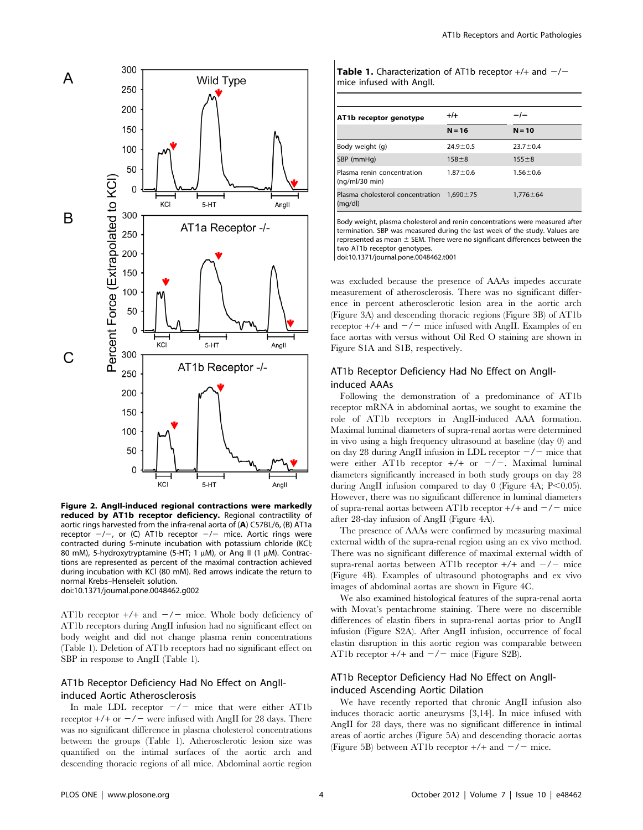

Figure 2. AngII-induced regional contractions were markedly reduced by AT1b receptor deficiency. Regional contractility of aortic rings harvested from the infra-renal aorta of (A) C57BL/6, (B) AT1a receptor  $-/-$ , or (C) AT1b receptor  $-/-$  mice. Aortic rings were contracted during 5-minute incubation with potassium chloride (KCl; 80 mM), 5-hydroxytryptamine (5-HT; 1  $\mu$ M), or Ang II (1  $\mu$ M). Contractions are represented as percent of the maximal contraction achieved during incubation with KCl (80 mM). Red arrows indicate the return to normal Krebs–Henseleit solution. doi:10.1371/journal.pone.0048462.g002

AT1b receptor  $+/+$  and  $-/-$  mice. Whole body deficiency of AT1b receptors during AngII infusion had no significant effect on body weight and did not change plasma renin concentrations (Table 1). Deletion of AT1b receptors had no significant effect on SBP in response to AngII (Table 1).

#### AT1b Receptor Deficiency Had No Effect on AngIIinduced Aortic Atherosclerosis

In male LDL receptor  $-\prime$  mice that were either AT1b receptor  $+/+$  or  $-/-$  were infused with AngII for 28 days. There was no significant difference in plasma cholesterol concentrations between the groups (Table 1). Atherosclerotic lesion size was quantified on the intimal surfaces of the aortic arch and descending thoracic regions of all mice. Abdominal aortic region

| <b>Table 1.</b> Characterization of AT1b receptor $+/+$ and $-/-$ |  |
|-------------------------------------------------------------------|--|
| mice infused with Angll.                                          |  |

| AT1b receptor genotype                       | $+/-$          | — / —          |
|----------------------------------------------|----------------|----------------|
|                                              | $N = 16$       | $N = 10$       |
| Body weight (g)                              | $24.9 \pm 0.5$ | $23.7 \pm 0.4$ |
| SBP (mmHg)                                   | $158 + 8$      | $155 \pm 8$    |
| Plasma renin concentration<br>(nq/ml/30 min) | $1.87 \pm 0.6$ | $1.56 \pm 0.6$ |
| Plasma cholesterol concentration<br>(mq/dl)  | $1.690 \pm 75$ | $1.776 \pm 64$ |

Body weight, plasma cholesterol and renin concentrations were measured after termination. SBP was measured during the last week of the study. Values are represented as mean  $\pm$  SEM. There were no significant differences between the two AT1b receptor genotypes.

doi:10.1371/journal.pone.0048462.t001

was excluded because the presence of AAAs impedes accurate measurement of atherosclerosis. There was no significant difference in percent atherosclerotic lesion area in the aortic arch (Figure 3A) and descending thoracic regions (Figure 3B) of AT1b receptor  $+/+$  and  $-/-$  mice infused with AngII. Examples of en face aortas with versus without Oil Red O staining are shown in Figure S1A and S1B, respectively.

#### AT1b Receptor Deficiency Had No Effect on AngIIinduced AAAs

Following the demonstration of a predominance of AT1b receptor mRNA in abdominal aortas, we sought to examine the role of AT1b receptors in AngII-induced AAA formation. Maximal luminal diameters of supra-renal aortas were determined in vivo using a high frequency ultrasound at baseline (day 0) and on day 28 during AngII infusion in LDL receptor  $-\prime$  mice that were either AT1b receptor  $+/+$  or  $-/-$ . Maximal luminal diameters significantly increased in both study groups on day 28 during AngII infusion compared to day 0 (Figure 4A;  $P<0.05$ ). However, there was no significant difference in luminal diameters of supra-renal aortas between AT1b receptor  $+$ / $+$  and  $-$ / $-$  mice after 28-day infusion of AngII (Figure 4A).

The presence of AAAs were confirmed by measuring maximal external width of the supra-renal region using an ex vivo method. There was no significant difference of maximal external width of supra-renal aortas between AT1b receptor  $+/+$  and  $-/-$  mice (Figure 4B). Examples of ultrasound photographs and ex vivo images of abdominal aortas are shown in Figure 4C.

We also examined histological features of the supra-renal aorta with Movat's pentachrome staining. There were no discernible differences of elastin fibers in supra-renal aortas prior to AngII infusion (Figure S2A). After AngII infusion, occurrence of focal elastin disruption in this aortic region was comparable between AT1b receptor  $+/+$  and  $-/-$  mice (Figure S2B).

#### AT1b Receptor Deficiency Had No Effect on AngIIinduced Ascending Aortic Dilation

We have recently reported that chronic AngII infusion also induces thoracic aortic aneurysms [3,14]. In mice infused with AngII for 28 days, there was no significant difference in intimal areas of aortic arches (Figure 5A) and descending thoracic aortas (Figure 5B) between AT1b receptor  $+/-$  and  $-/-$  mice.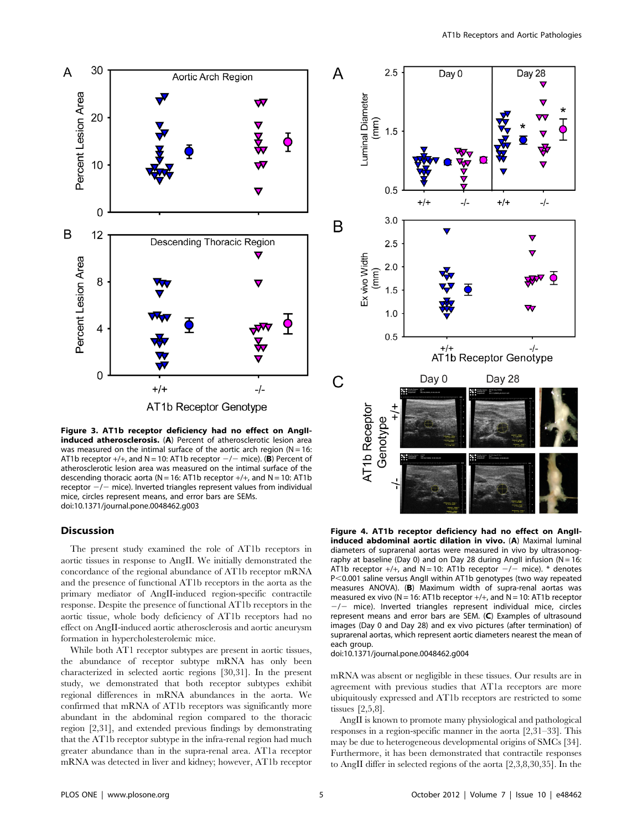

Figure 3. AT1b receptor deficiency had no effect on AngIIinduced atherosclerosis. (A) Percent of atherosclerotic lesion area was measured on the intimal surface of the aortic arch region ( $N = 16$ : AT1b receptor  $+/+$ , and N = 10: AT1b receptor  $-/-$  mice). (B) Percent of atherosclerotic lesion area was measured on the intimal surface of the descending thoracic aorta ( $N = 16$ : AT1b receptor  $+/+$ , and  $N = 10$ : AT1b receptor  $-/-$  mice). Inverted triangles represent values from individual mice, circles represent means, and error bars are SEMs. doi:10.1371/journal.pone.0048462.g003

#### Discussion

The present study examined the role of AT1b receptors in aortic tissues in response to AngII. We initially demonstrated the concordance of the regional abundance of AT1b receptor mRNA and the presence of functional AT1b receptors in the aorta as the primary mediator of AngII-induced region-specific contractile response. Despite the presence of functional AT1b receptors in the aortic tissue, whole body deficiency of AT1b receptors had no effect on AngII-induced aortic atherosclerosis and aortic aneurysm formation in hypercholesterolemic mice.

While both AT1 receptor subtypes are present in aortic tissues, the abundance of receptor subtype mRNA has only been characterized in selected aortic regions [30,31]. In the present study, we demonstrated that both receptor subtypes exhibit regional differences in mRNA abundances in the aorta. We confirmed that mRNA of AT1b receptors was significantly more abundant in the abdominal region compared to the thoracic region [2,31], and extended previous findings by demonstrating that the AT1b receptor subtype in the infra-renal region had much greater abundance than in the supra-renal area. AT1a receptor mRNA was detected in liver and kidney; however, AT1b receptor



Figure 4. AT1b receptor deficiency had no effect on AngIIinduced abdominal aortic dilation in vivo. (A) Maximal luminal diameters of suprarenal aortas were measured in vivo by ultrasonography at baseline (Day 0) and on Day 28 during AngII infusion ( $N = 16$ : AT1b receptor  $+/+$ , and N = 10: AT1b receptor  $-/-$  mice). \* denotes P<0.001 saline versus AngII within AT1b genotypes (two way repeated measures ANOVA). (B) Maximum width of supra-renal aortas was measured ex vivo ( $N = 16$ : AT1b receptor  $+/+$ , and  $N = 10$ : AT1b receptor  $-/-$  mice). Inverted triangles represent individual mice, circles represent means and error bars are SEM. (C) Examples of ultrasound images (Day 0 and Day 28) and ex vivo pictures (after termination) of suprarenal aortas, which represent aortic diameters nearest the mean of each group.

doi:10.1371/journal.pone.0048462.g004

mRNA was absent or negligible in these tissues. Our results are in agreement with previous studies that AT1a receptors are more ubiquitously expressed and AT1b receptors are restricted to some tissues [2,5,8].

AngII is known to promote many physiological and pathological responses in a region-specific manner in the aorta [2,31–33]. This may be due to heterogeneous developmental origins of SMCs [34]. Furthermore, it has been demonstrated that contractile responses to AngII differ in selected regions of the aorta [2,3,8,30,35]. In the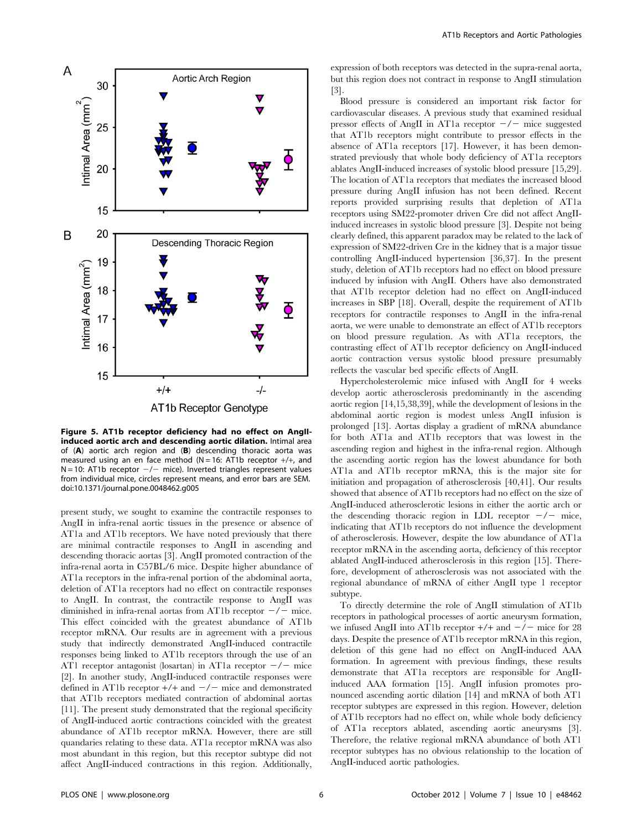

Figure 5. AT1b receptor deficiency had no effect on AngIIinduced aortic arch and descending aortic dilation. Intimal area of (A) aortic arch region and (B) descending thoracic aorta was measured using an en face method (N = 16: AT1b receptor  $+/+$ , and  $N = 10$ : AT1b receptor  $-/-$  mice). Inverted triangles represent values from individual mice, circles represent means, and error bars are SEM. doi:10.1371/journal.pone.0048462.g005

present study, we sought to examine the contractile responses to AngII in infra-renal aortic tissues in the presence or absence of AT1a and AT1b receptors. We have noted previously that there are minimal contractile responses to AngII in ascending and descending thoracic aortas [3]. AngII promoted contraction of the infra-renal aorta in C57BL/6 mice. Despite higher abundance of AT1a receptors in the infra-renal portion of the abdominal aorta, deletion of AT1a receptors had no effect on contractile responses to AngII. In contrast, the contractile response to AngII was diminished in infra-renal aortas from AT1b receptor  $-\prime$  mice. This effect coincided with the greatest abundance of AT1b receptor mRNA. Our results are in agreement with a previous study that indirectly demonstrated AngII-induced contractile responses being linked to AT1b receptors through the use of an AT1 receptor antagonist (losartan) in AT1a receptor  $-\prime$  mice [2]. In another study, AngII-induced contractile responses were defined in AT1b receptor  $+/+$  and  $-/-$  mice and demonstrated that AT1b receptors mediated contraction of abdominal aortas [11]. The present study demonstrated that the regional specificity of AngII-induced aortic contractions coincided with the greatest abundance of AT1b receptor mRNA. However, there are still quandaries relating to these data. AT1a receptor mRNA was also most abundant in this region, but this receptor subtype did not affect AngII-induced contractions in this region. Additionally, expression of both receptors was detected in the supra-renal aorta, but this region does not contract in response to AngII stimulation [3].

Blood pressure is considered an important risk factor for cardiovascular diseases. A previous study that examined residual pressor effects of AngII in AT1a receptor  $-\prime$  mice suggested that AT1b receptors might contribute to pressor effects in the absence of AT1a receptors [17]. However, it has been demonstrated previously that whole body deficiency of AT1a receptors ablates AngII-induced increases of systolic blood pressure [15,29]. The location of AT1a receptors that mediates the increased blood pressure during AngII infusion has not been defined. Recent reports provided surprising results that depletion of AT1a receptors using SM22-promoter driven Cre did not affect AngIIinduced increases in systolic blood pressure [3]. Despite not being clearly defined, this apparent paradox may be related to the lack of expression of SM22-driven Cre in the kidney that is a major tissue controlling AngII-induced hypertension [36,37]. In the present study, deletion of AT1b receptors had no effect on blood pressure induced by infusion with AngII. Others have also demonstrated that AT1b receptor deletion had no effect on AngII-induced increases in SBP [18]. Overall, despite the requirement of AT1b receptors for contractile responses to AngII in the infra-renal aorta, we were unable to demonstrate an effect of AT1b receptors on blood pressure regulation. As with AT1a receptors, the contrasting effect of AT1b receptor deficiency on AngII-induced aortic contraction versus systolic blood pressure presumably reflects the vascular bed specific effects of AngII.

Hypercholesterolemic mice infused with AngII for 4 weeks develop aortic atherosclerosis predominantly in the ascending aortic region [14,15,38,39], while the development of lesions in the abdominal aortic region is modest unless AngII infusion is prolonged [13]. Aortas display a gradient of mRNA abundance for both AT1a and AT1b receptors that was lowest in the ascending region and highest in the infra-renal region. Although the ascending aortic region has the lowest abundance for both AT1a and AT1b receptor mRNA, this is the major site for initiation and propagation of atherosclerosis [40,41]. Our results showed that absence of AT1b receptors had no effect on the size of AngII-induced atherosclerotic lesions in either the aortic arch or the descending thoracic region in LDL receptor  $-\prime$  mice, indicating that AT1b receptors do not influence the development of atherosclerosis. However, despite the low abundance of AT1a receptor mRNA in the ascending aorta, deficiency of this receptor ablated AngII-induced atherosclerosis in this region [15]. Therefore, development of atherosclerosis was not associated with the regional abundance of mRNA of either AngII type 1 receptor subtype.

To directly determine the role of AngII stimulation of AT1b receptors in pathological processes of aortic aneurysm formation, we infused AngII into AT1b receptor  $+/+$  and  $-/-$  mice for 28 days. Despite the presence of AT1b receptor mRNA in this region, deletion of this gene had no effect on AngII-induced AAA formation. In agreement with previous findings, these results demonstrate that AT1a receptors are responsible for AngIIinduced AAA formation [15]. AngII infusion promotes pronounced ascending aortic dilation [14] and mRNA of both AT1 receptor subtypes are expressed in this region. However, deletion of AT1b receptors had no effect on, while whole body deficiency of AT1a receptors ablated, ascending aortic aneurysms [3]. Therefore, the relative regional mRNA abundance of both AT1 receptor subtypes has no obvious relationship to the location of AngII-induced aortic pathologies.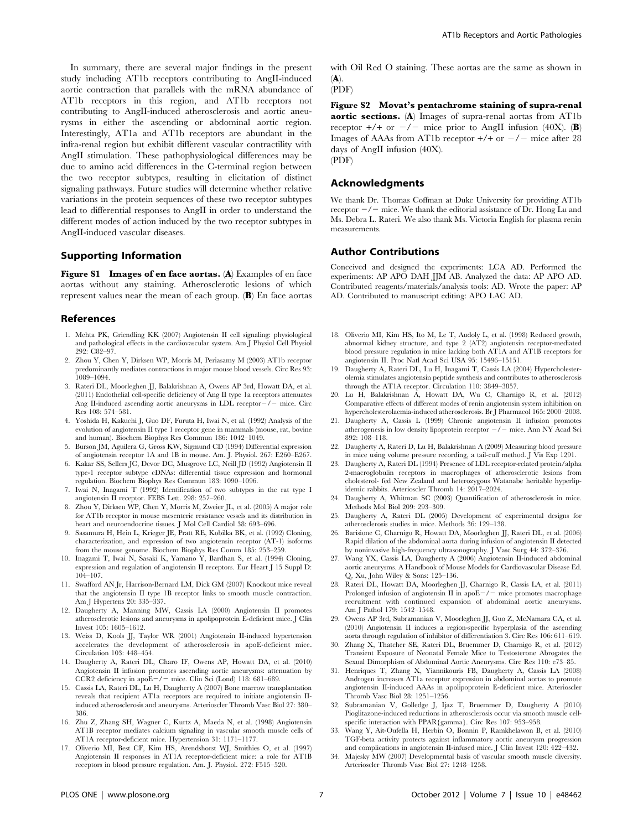In summary, there are several major findings in the present study including AT1b receptors contributing to AngII-induced aortic contraction that parallels with the mRNA abundance of AT1b receptors in this region, and AT1b receptors not contributing to AngII-induced atherosclerosis and aortic aneurysms in either the ascending or abdominal aortic region. Interestingly, AT1a and AT1b receptors are abundant in the infra-renal region but exhibit different vascular contractility with AngII stimulation. These pathophysiological differences may be due to amino acid differences in the C-terminal region between the two receptor subtypes, resulting in elicitation of distinct signaling pathways. Future studies will determine whether relative variations in the protein sequences of these two receptor subtypes lead to differential responses to AngII in order to understand the different modes of action induced by the two receptor subtypes in AngII-induced vascular diseases.

#### Supporting Information

Figure S1 Images of en face aortas. (A) Examples of en face aortas without any staining. Atherosclerotic lesions of which represent values near the mean of each group. (B) En face aortas

#### References

- 1. Mehta PK, Griendling KK (2007) Angiotensin II cell signaling: physiological and pathological effects in the cardiovascular system. Am J Physiol Cell Physiol 292: C82–97.
- 2. Zhou Y, Chen Y, Dirksen WP, Morris M, Periasamy M (2003) AT1b receptor predominantly mediates contractions in major mouse blood vessels. Circ Res 93: 1089–1094.
- 3. Rateri DL, Moorleghen JJ, Balakrishnan A, Owens AP 3rd, Howatt DA, et al. (2011) Endothelial cell-specific deficiency of Ang II type 1a receptors attenuates Ang II-induced ascending aortic aneurysms in LDL receptor $-\prime$  mice. Circ Res 108: 574–581.
- 4. Yoshida H, Kakuchi J, Guo DF, Furuta H, Iwai N, et al. (1992) Analysis of the evolution of angiotensin II type 1 receptor gene in mammals (mouse, rat, bovine and human). Biochem Biophys Res Commun 186: 1042–1049.
- 5. Burson JM, Aguilera G, Gross KW, Sigmund CD (1994) Differential expression of angiotensin receptor 1A and 1B in mouse. Am. J. Physiol. 267: E260–E267.
- 6. Kakar SS, Sellers JC, Devor DC, Musgrove LC, Neill JD (1992) Angiotensin II type-1 receptor subtype cDNAs: differential tissue expression and hormonal regulation. Biochem Biophys Res Commun 183: 1090–1096.
- 7. Iwai N, Inagami T (1992) Identification of two subtypes in the rat type I angiotensin II receptor. FEBS Lett. 298: 257–260.
- 8. Zhou Y, Dirksen WP, Chen Y, Morris M, Zweier JL, et al. (2005) A major role for AT1b receptor in mouse mesenteric resistance vessels and its distribution in heart and neuroendocrine tissues. J Mol Cell Cardiol 38: 693–696.
- 9. Sasamura H, Hein L, Krieger JE, Pratt RE, Kobilka BK, et al. (1992) Cloning, characterization, and expression of two angiotensin receptor (AT-1) isoforms from the mouse genome. Biochem Biophys Res Comm 185: 253–259.
- 10. Inagami T, Iwai N, Sasaki K, Yamano Y, Bardhan S, et al. (1994) Cloning, expression and regulation of angiotensin II receptors. Eur Heart J 15 Suppl D: 104–107.
- 11. Swafford AN Jr, Harrison-Bernard LM, Dick GM (2007) Knockout mice reveal that the angiotensin II type 1B receptor links to smooth muscle contraction. Am J Hypertens 20: 335–337.
- 12. Daugherty A, Manning MW, Cassis LA (2000) Angiotensin II promotes atherosclerotic lesions and aneurysms in apolipoprotein E-deficient mice. J Clin Invest 105: 1605–1612.
- 13. Weiss D, Kools JJ, Taylor WR (2001) Angiotensin II-induced hypertension accelerates the development of atherosclerosis in apoE-deficient mice. Circulation 103: 448–454.
- 14. Daugherty A, Rateri DL, Charo IF, Owens AP, Howatt DA, et al. (2010) Angiotensin II infusion promotes ascending aortic aneurysms: attenuation by CCR2 deficiency in apo $E-/-$  mice. Clin Sci (Lond) 118: 681–689.
- 15. Cassis LA, Rateri DL, Lu H, Daugherty A (2007) Bone marrow transplantation reveals that recipient AT1a receptors are required to initiate angiotensin IIinduced atherosclerosis and aneurysms. Arterioscler Thromb Vasc Biol 27: 380– 386.
- 16. Zhu Z, Zhang SH, Wagner C, Kurtz A, Maeda N, et al. (1998) Angiotensin AT1B receptor mediates calcium signaling in vascular smooth muscle cells of AT1A receptor-deficient mice. Hypertension 31: 1171–1177.
- 17. Oliverio MI, Best CF, Kim HS, Arendshorst WJ, Smithies O, et al. (1997) Angiotensin II responses in AT1A receptor-deficient mice: a role for AT1B receptors in blood pressure regulation. Am. J. Physiol. 272: F515–520.

with Oil Red O staining. These aortas are the same as shown in  $(A)$ .

(PDF)

Figure S2 Movat's pentachrome staining of supra-renal aortic sections. (A) Images of supra-renal aortas from AT1b receptor  $+/+$  or  $-/-$  mice prior to AngII infusion (40X). (B) Images of AAAs from AT1b receptor  $+/+$  or  $-/-$  mice after 28 days of AngII infusion (40X). (PDF)

#### Acknowledgments

We thank Dr. Thomas Coffman at Duke University for providing AT1b receptor  $-\prime$  mice. We thank the editorial assistance of Dr. Hong Lu and Ms. Debra L. Rateri. We also thank Ms. Victoria English for plasma renin measurements.

#### Author Contributions

Conceived and designed the experiments: LCA AD. Performed the experiments: AP APO DAH JJM AB. Analyzed the data: AP APO AD. Contributed reagents/materials/analysis tools: AD. Wrote the paper: AP AD. Contributed to manuscript editing: APO LAC AD.

- 18. Oliverio MI, Kim HS, Ito M, Le T, Audoly L, et al. (1998) Reduced growth, abnormal kidney structure, and type 2 (AT2) angiotensin receptor-mediated blood pressure regulation in mice lacking both AT1A and AT1B receptors for angiotensin II. Proc Natl Acad Sci USA 95: 15496–15151.
- 19. Daugherty A, Rateri DL, Lu H, Inagami T, Cassis LA (2004) Hypercholesterolemia stimulates angiotensin peptide synthesis and contributes to atherosclerosis through the AT1A receptor. Circulation 110: 3849–3857.
- 20. Lu H, Balakrishnan A, Howatt DA, Wu C, Charnigo R, et al. (2012) Comparative effects of different modes of renin angiotensin system inhibition on hypercholesterolaemia-induced atherosclerosis. Br J Pharmacol 165: 2000–2008.
- 21. Daugherty A, Cassis L (1999) Chronic angiotensin II infusion promotes atherogenesis in low density lipoprotein receptor  $-/-$  mice. Ann NY Acad Sci 892: 108–118.
- 22. Daugherty A, Rateri D, Lu H, Balakrishnan A (2009) Measuring blood pressure in mice using volume pressure recording, a tail-cuff method. J Vis Exp 1291.
- 23. Daugherty A, Rateri DL (1994) Presence of LDL receptor-related protein/alpha 2-macroglobulin receptors in macrophages of atherosclerotic lesions from cholesterol- fed New Zealand and heterozygous Watanabe heritable hyperlipidemic rabbits. Arterioscler Thromb 14: 2017–2024.
- 24. Daugherty A, Whitman SC (2003) Quantification of atherosclerosis in mice. Methods Mol Biol 209: 293–309.
- 25. Daugherty A, Rateri DL (2005) Development of experimental designs for atherosclerosis studies in mice. Methods 36: 129–138.
- 26. Barisione C, Charnigo R, Howatt DA, Moorleghen JJ, Rateri DL, et al. (2006) Rapid dilation of the abdominal aorta during infusion of angiotensin II detected by noninvasive high-frequency ultrasonography. J Vasc Surg 44: 372–376.
- 27. Wang YX, Cassis LA, Daugherty A (2006) Angiotensin II-induced abdominal aortic aneurysms. A Handbook of Mouse Models for Cardiovascular Disease Ed. Q. Xu, John Wiley & Sons: 125–136.
- 28. Rateri DL, Howatt DA, Moorleghen JJ, Charnigo R, Cassis LA, et al. (2011) Prolonged infusion of angiotensin II in apo $E-/-$  mice promotes macrophage recruitment with continued expansion of abdominal aortic aneurysms. Am J Pathol 179: 1542–1548.
- 29. Owens AP 3rd, Subramanian V, Moorleghen JJ, Guo Z, McNamara CA, et al. (2010) Angiotensin II induces a region-specific hyperplasia of the ascending aorta through regulation of inhibitor of differentiation 3. Circ Res 106: 611–619.
- 30. Zhang X, Thatcher SE, Rateri DL, Bruemmer D, Charnigo R, et al. (2012) Transient Exposure of Neonatal Female Mice to Testosterone Abrogates the Sexual Dimorphism of Abdominal Aortic Aneurysms. Circ Res 110: e73–85.
- 31. Henriques T, Zhang X, Yiannikouris FB, Daugherty A, Cassis LA (2008) Androgen increases AT1a receptor expression in abdominal aortas to promote angiotensin II-induced AAAs in apolipoprotein E-deficient mice. Arterioscler Thromb Vasc Biol 28: 1251–1256.
- 32. Subramanian V, Golledge J, Ijaz T, Bruemmer D, Daugherty A (2010) Pioglitazone-induced reductions in atherosclerosis occur via smooth muscle cellspecific interaction with PPAR{gamma}. Circ Res 107: 953–958.
- 33. Wang Y, Ait-Oufella H, Herbin O, Bonnin P, Ramkhelawon B, et al. (2010) TGF-beta activity protects against inflammatory aortic aneurysm progression and complications in angiotensin II-infused mice. J Clin Invest 120: 422–432.
- 34. Majesky MW (2007) Developmental basis of vascular smooth muscle diversity. Arterioscler Thromb Vasc Biol 27: 1248–1258.